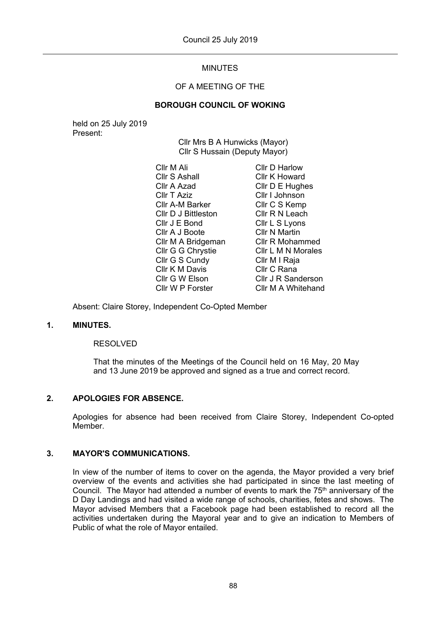# MINUTES

## OF A MEETING OF THE

### **BOROUGH COUNCIL OF WOKING**

held on 25 July 2019 Present:

Cllr Mrs B A Hunwicks (Mayor) Cllr S Hussain (Deputy Mayor)

Cllr M Ali Cllr S Ashall Cllr A Azad Cllr T Aziz Cllr A-M Barker Cllr D J Bittleston Cllr J E Bond Cllr A J Boote Cllr M A Bridgeman Cllr G G Chrystie Cllr G S Cundy Cllr K M Davis Cllr G W Elson Cllr W P Forster Cllr D Harlow Cllr K Howard Cllr D E Hughes Cllr I Johnson Cllr C S Kemp Cllr R N Leach Cllr L S Lyons Cllr N Martin Cllr R Mohammed Cllr L M N Morales Cllr M I Raja Cllr C Rana Cllr J R Sanderson Cllr M A Whitehand

Absent: Claire Storey, Independent Co-Opted Member

### **1. MINUTES.**

#### RESOLVED

That the minutes of the Meetings of the Council held on 16 May, 20 May and 13 June 2019 be approved and signed as a true and correct record.

#### **2. APOLOGIES FOR ABSENCE.**

Apologies for absence had been received from Claire Storey, Independent Co-opted Member.

### **3. MAYOR'S COMMUNICATIONS.**

In view of the number of items to cover on the agenda, the Mayor provided a very brief overview of the events and activities she had participated in since the last meeting of Council. The Mayor had attended a number of events to mark the  $75<sup>th</sup>$  anniversary of the D Day Landings and had visited a wide range of schools, charities, fetes and shows. The Mayor advised Members that a Facebook page had been established to record all the activities undertaken during the Mayoral year and to give an indication to Members of Public of what the role of Mayor entailed.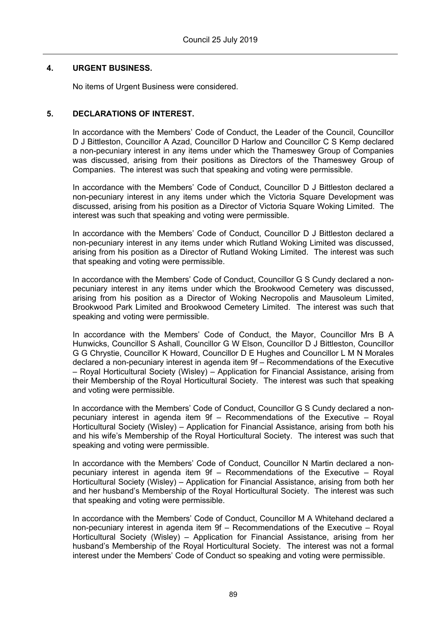## **4. URGENT BUSINESS.**

No items of Urgent Business were considered.

## **5. DECLARATIONS OF INTEREST.**

In accordance with the Members' Code of Conduct, the Leader of the Council, Councillor D J Bittleston, Councillor A Azad, Councillor D Harlow and Councillor C S Kemp declared a non-pecuniary interest in any items under which the Thameswey Group of Companies was discussed, arising from their positions as Directors of the Thameswey Group of Companies. The interest was such that speaking and voting were permissible.

In accordance with the Members' Code of Conduct, Councillor D J Bittleston declared a non-pecuniary interest in any items under which the Victoria Square Development was discussed, arising from his position as a Director of Victoria Square Woking Limited. The interest was such that speaking and voting were permissible.

In accordance with the Members' Code of Conduct, Councillor D J Bittleston declared a non-pecuniary interest in any items under which Rutland Woking Limited was discussed, arising from his position as a Director of Rutland Woking Limited. The interest was such that speaking and voting were permissible.

In accordance with the Members' Code of Conduct, Councillor G S Cundy declared a nonpecuniary interest in any items under which the Brookwood Cemetery was discussed, arising from his position as a Director of Woking Necropolis and Mausoleum Limited, Brookwood Park Limited and Brookwood Cemetery Limited. The interest was such that speaking and voting were permissible.

In accordance with the Members' Code of Conduct, the Mayor, Councillor Mrs B A Hunwicks, Councillor S Ashall, Councillor G W Elson, Councillor D J Bittleston, Councillor G G Chrystie, Councillor K Howard, Councillor D E Hughes and Councillor L M N Morales declared a non-pecuniary interest in agenda item 9f – Recommendations of the Executive – Royal Horticultural Society (Wisley) – Application for Financial Assistance, arising from their Membership of the Royal Horticultural Society. The interest was such that speaking and voting were permissible.

In accordance with the Members' Code of Conduct, Councillor G S Cundy declared a nonpecuniary interest in agenda item 9f – Recommendations of the Executive – Royal Horticultural Society (Wisley) – Application for Financial Assistance, arising from both his and his wife's Membership of the Royal Horticultural Society. The interest was such that speaking and voting were permissible.

In accordance with the Members' Code of Conduct, Councillor N Martin declared a nonpecuniary interest in agenda item 9f – Recommendations of the Executive – Royal Horticultural Society (Wisley) – Application for Financial Assistance, arising from both her and her husband's Membership of the Royal Horticultural Society. The interest was such that speaking and voting were permissible.

In accordance with the Members' Code of Conduct, Councillor M A Whitehand declared a non-pecuniary interest in agenda item 9f – Recommendations of the Executive – Royal Horticultural Society (Wisley) – Application for Financial Assistance, arising from her husband's Membership of the Royal Horticultural Society. The interest was not a formal interest under the Members' Code of Conduct so speaking and voting were permissible.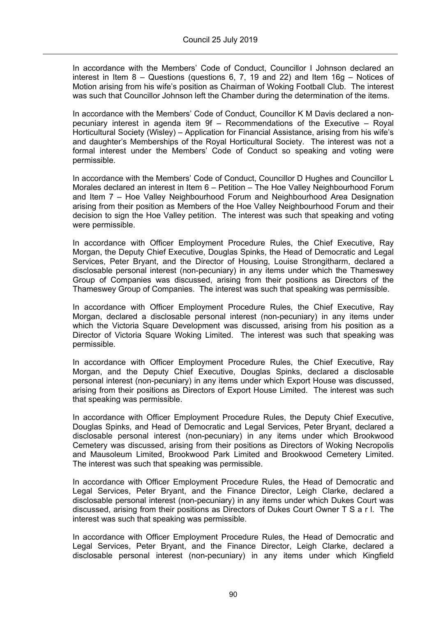In accordance with the Members' Code of Conduct, Councillor I Johnson declared an interest in Item 8 – Questions (questions 6, 7, 19 and 22) and Item 16g – Notices of Motion arising from his wife's position as Chairman of Woking Football Club. The interest was such that Councillor Johnson left the Chamber during the determination of the items.

In accordance with the Members' Code of Conduct, Councillor K M Davis declared a nonpecuniary interest in agenda item 9f – Recommendations of the Executive – Royal Horticultural Society (Wisley) – Application for Financial Assistance, arising from his wife's and daughter's Memberships of the Royal Horticultural Society. The interest was not a formal interest under the Members' Code of Conduct so speaking and voting were permissible.

In accordance with the Members' Code of Conduct, Councillor D Hughes and Councillor L Morales declared an interest in Item 6 – Petition – The Hoe Valley Neighbourhood Forum and Item 7 – Hoe Valley Neighbourhood Forum and Neighbourhood Area Designation arising from their position as Members of the Hoe Valley Neighbourhood Forum and their decision to sign the Hoe Valley petition. The interest was such that speaking and voting were permissible.

In accordance with Officer Employment Procedure Rules, the Chief Executive, Ray Morgan, the Deputy Chief Executive, Douglas Spinks, the Head of Democratic and Legal Services, Peter Bryant, and the Director of Housing, Louise Strongitharm, declared a disclosable personal interest (non-pecuniary) in any items under which the Thameswey Group of Companies was discussed, arising from their positions as Directors of the Thameswey Group of Companies. The interest was such that speaking was permissible.

In accordance with Officer Employment Procedure Rules, the Chief Executive, Ray Morgan, declared a disclosable personal interest (non-pecuniary) in any items under which the Victoria Square Development was discussed, arising from his position as a Director of Victoria Square Woking Limited. The interest was such that speaking was permissible.

In accordance with Officer Employment Procedure Rules, the Chief Executive, Ray Morgan, and the Deputy Chief Executive, Douglas Spinks, declared a disclosable personal interest (non-pecuniary) in any items under which Export House was discussed, arising from their positions as Directors of Export House Limited. The interest was such that speaking was permissible.

In accordance with Officer Employment Procedure Rules, the Deputy Chief Executive, Douglas Spinks, and Head of Democratic and Legal Services, Peter Bryant, declared a disclosable personal interest (non-pecuniary) in any items under which Brookwood Cemetery was discussed, arising from their positions as Directors of Woking Necropolis and Mausoleum Limited, Brookwood Park Limited and Brookwood Cemetery Limited. The interest was such that speaking was permissible.

In accordance with Officer Employment Procedure Rules, the Head of Democratic and Legal Services, Peter Bryant, and the Finance Director, Leigh Clarke, declared a disclosable personal interest (non-pecuniary) in any items under which Dukes Court was discussed, arising from their positions as Directors of Dukes Court Owner T S a r l. The interest was such that speaking was permissible.

In accordance with Officer Employment Procedure Rules, the Head of Democratic and Legal Services, Peter Bryant, and the Finance Director, Leigh Clarke, declared a disclosable personal interest (non-pecuniary) in any items under which Kingfield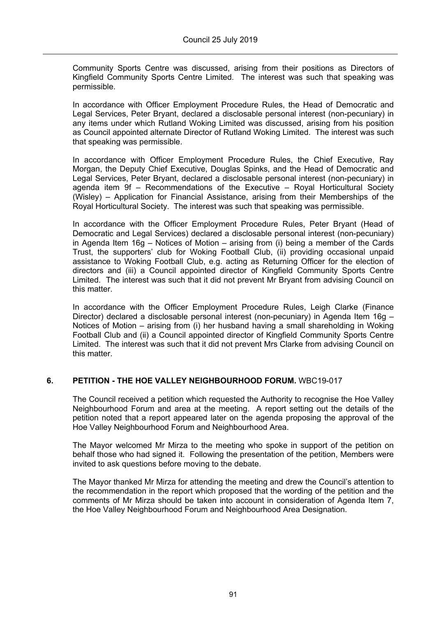Community Sports Centre was discussed, arising from their positions as Directors of Kingfield Community Sports Centre Limited. The interest was such that speaking was permissible.

In accordance with Officer Employment Procedure Rules, the Head of Democratic and Legal Services, Peter Bryant, declared a disclosable personal interest (non-pecuniary) in any items under which Rutland Woking Limited was discussed, arising from his position as Council appointed alternate Director of Rutland Woking Limited. The interest was such that speaking was permissible.

In accordance with Officer Employment Procedure Rules, the Chief Executive, Ray Morgan, the Deputy Chief Executive, Douglas Spinks, and the Head of Democratic and Legal Services, Peter Bryant, declared a disclosable personal interest (non-pecuniary) in agenda item 9f – Recommendations of the Executive – Royal Horticultural Society (Wisley) – Application for Financial Assistance, arising from their Memberships of the Royal Horticultural Society. The interest was such that speaking was permissible.

In accordance with the Officer Employment Procedure Rules, Peter Bryant (Head of Democratic and Legal Services) declared a disclosable personal interest (non-pecuniary) in Agenda Item 16g – Notices of Motion – arising from (i) being a member of the Cards Trust, the supporters' club for Woking Football Club, (ii) providing occasional unpaid assistance to Woking Football Club, e.g. acting as Returning Officer for the election of directors and (iii) a Council appointed director of Kingfield Community Sports Centre Limited. The interest was such that it did not prevent Mr Bryant from advising Council on this matter.

In accordance with the Officer Employment Procedure Rules, Leigh Clarke (Finance Director) declared a disclosable personal interest (non-pecuniary) in Agenda Item 16g – Notices of Motion – arising from (i) her husband having a small shareholding in Woking Football Club and (ii) a Council appointed director of Kingfield Community Sports Centre Limited. The interest was such that it did not prevent Mrs Clarke from advising Council on this matter.

## **6. PETITION - THE HOE VALLEY NEIGHBOURHOOD FORUM.** WBC19-017

The Council received a petition which requested the Authority to recognise the Hoe Valley Neighbourhood Forum and area at the meeting. A report setting out the details of the petition noted that a report appeared later on the agenda proposing the approval of the Hoe Valley Neighbourhood Forum and Neighbourhood Area.

The Mayor welcomed Mr Mirza to the meeting who spoke in support of the petition on behalf those who had signed it. Following the presentation of the petition, Members were invited to ask questions before moving to the debate.

The Mayor thanked Mr Mirza for attending the meeting and drew the Council's attention to the recommendation in the report which proposed that the wording of the petition and the comments of Mr Mirza should be taken into account in consideration of Agenda Item 7, the Hoe Valley Neighbourhood Forum and Neighbourhood Area Designation.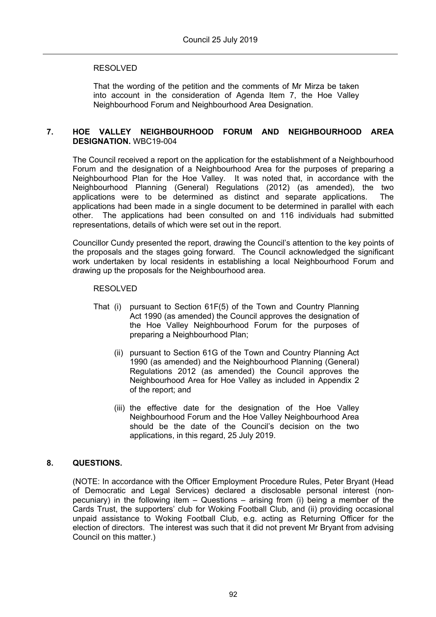### RESOLVED

That the wording of the petition and the comments of Mr Mirza be taken into account in the consideration of Agenda Item 7, the Hoe Valley Neighbourhood Forum and Neighbourhood Area Designation.

### **7. HOE VALLEY NEIGHBOURHOOD FORUM AND NEIGHBOURHOOD AREA DESIGNATION.** WBC19-004

The Council received a report on the application for the establishment of a Neighbourhood Forum and the designation of a Neighbourhood Area for the purposes of preparing a Neighbourhood Plan for the Hoe Valley. It was noted that, in accordance with the Neighbourhood Planning (General) Regulations (2012) (as amended), the two applications were to be determined as distinct and separate applications. The applications had been made in a single document to be determined in parallel with each other. The applications had been consulted on and 116 individuals had submitted representations, details of which were set out in the report.

Councillor Cundy presented the report, drawing the Council's attention to the key points of the proposals and the stages going forward. The Council acknowledged the significant work undertaken by local residents in establishing a local Neighbourhood Forum and drawing up the proposals for the Neighbourhood area.

#### RESOLVED

- That (i) pursuant to Section 61F(5) of the Town and Country Planning Act 1990 (as amended) the Council approves the designation of the Hoe Valley Neighbourhood Forum for the purposes of preparing a Neighbourhood Plan;
	- (ii) pursuant to Section 61G of the Town and Country Planning Act 1990 (as amended) and the Neighbourhood Planning (General) Regulations 2012 (as amended) the Council approves the Neighbourhood Area for Hoe Valley as included in Appendix 2 of the report; and
	- (iii) the effective date for the designation of the Hoe Valley Neighbourhood Forum and the Hoe Valley Neighbourhood Area should be the date of the Council's decision on the two applications, in this regard, 25 July 2019.

## **8. QUESTIONS.**

(NOTE: In accordance with the Officer Employment Procedure Rules, Peter Bryant (Head of Democratic and Legal Services) declared a disclosable personal interest (nonpecuniary) in the following item – Questions – arising from (i) being a member of the Cards Trust, the supporters' club for Woking Football Club, and (ii) providing occasional unpaid assistance to Woking Football Club, e.g. acting as Returning Officer for the election of directors. The interest was such that it did not prevent Mr Bryant from advising Council on this matter.)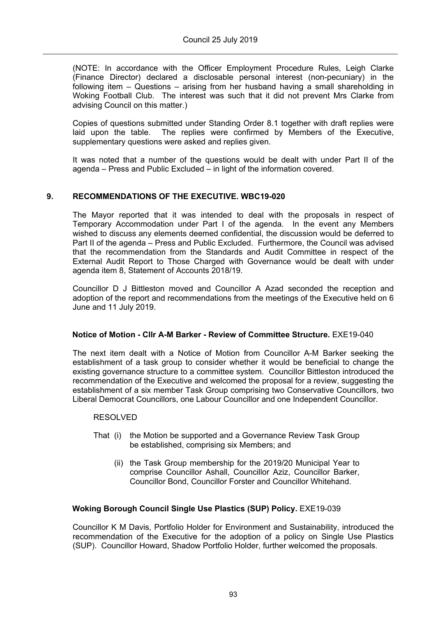(NOTE: In accordance with the Officer Employment Procedure Rules, Leigh Clarke (Finance Director) declared a disclosable personal interest (non-pecuniary) in the following item – Questions – arising from her husband having a small shareholding in Woking Football Club. The interest was such that it did not prevent Mrs Clarke from advising Council on this matter.)

Copies of questions submitted under Standing Order 8.1 together with draft replies were laid upon the table. The replies were confirmed by Members of the Executive, supplementary questions were asked and replies given.

It was noted that a number of the questions would be dealt with under Part II of the agenda – Press and Public Excluded – in light of the information covered.

## **9. RECOMMENDATIONS OF THE EXECUTIVE. WBC19-020**

The Mayor reported that it was intended to deal with the proposals in respect of Temporary Accommodation under Part I of the agenda. In the event any Members wished to discuss any elements deemed confidential, the discussion would be deferred to Part II of the agenda – Press and Public Excluded. Furthermore, the Council was advised that the recommendation from the Standards and Audit Committee in respect of the External Audit Report to Those Charged with Governance would be dealt with under agenda item 8, Statement of Accounts 2018/19.

Councillor D J Bittleston moved and Councillor A Azad seconded the reception and adoption of the report and recommendations from the meetings of the Executive held on 6 June and 11 July 2019.

## **Notice of Motion - Cllr A-M Barker - Review of Committee Structure.** EXE19-040

The next item dealt with a Notice of Motion from Councillor A-M Barker seeking the establishment of a task group to consider whether it would be beneficial to change the existing governance structure to a committee system. Councillor Bittleston introduced the recommendation of the Executive and welcomed the proposal for a review, suggesting the establishment of a six member Task Group comprising two Conservative Councillors, two Liberal Democrat Councillors, one Labour Councillor and one Independent Councillor.

## RESOLVED

- That (i) the Motion be supported and a Governance Review Task Group be established, comprising six Members; and
	- (ii) the Task Group membership for the 2019/20 Municipal Year to comprise Councillor Ashall, Councillor Aziz, Councillor Barker, Councillor Bond, Councillor Forster and Councillor Whitehand.

## **Woking Borough Council Single Use Plastics (SUP) Policy.** EXE19-039

Councillor K M Davis, Portfolio Holder for Environment and Sustainability, introduced the recommendation of the Executive for the adoption of a policy on Single Use Plastics (SUP). Councillor Howard, Shadow Portfolio Holder, further welcomed the proposals.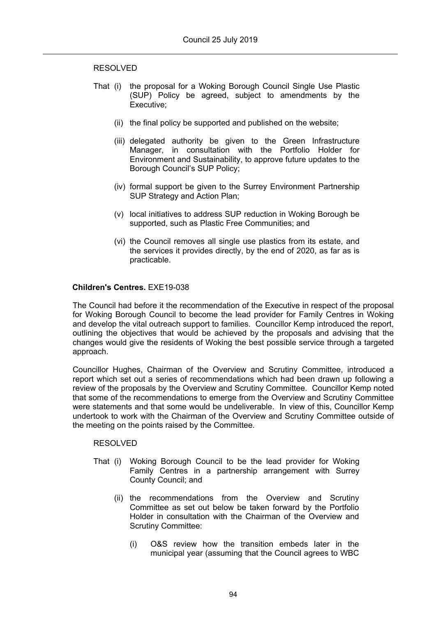#### RESOLVED

- That (i) the proposal for a Woking Borough Council Single Use Plastic (SUP) Policy be agreed, subject to amendments by the Executive;
	- (ii) the final policy be supported and published on the website;
	- (iii) delegated authority be given to the Green Infrastructure Manager, in consultation with the Portfolio Holder for Environment and Sustainability, to approve future updates to the Borough Council's SUP Policy;
	- (iv) formal support be given to the Surrey Environment Partnership SUP Strategy and Action Plan;
	- (v) local initiatives to address SUP reduction in Woking Borough be supported, such as Plastic Free Communities; and
	- (vi) the Council removes all single use plastics from its estate, and the services it provides directly, by the end of 2020, as far as is practicable.

### **Children's Centres.** EXE19-038

The Council had before it the recommendation of the Executive in respect of the proposal for Woking Borough Council to become the lead provider for Family Centres in Woking and develop the vital outreach support to families. Councillor Kemp introduced the report, outlining the objectives that would be achieved by the proposals and advising that the changes would give the residents of Woking the best possible service through a targeted approach.

Councillor Hughes, Chairman of the Overview and Scrutiny Committee, introduced a report which set out a series of recommendations which had been drawn up following a review of the proposals by the Overview and Scrutiny Committee. Councillor Kemp noted that some of the recommendations to emerge from the Overview and Scrutiny Committee were statements and that some would be undeliverable. In view of this, Councillor Kemp undertook to work with the Chairman of the Overview and Scrutiny Committee outside of the meeting on the points raised by the Committee.

#### RESOLVED

- That (i) Woking Borough Council to be the lead provider for Woking Family Centres in a partnership arrangement with Surrey County Council; and
	- (ii) the recommendations from the Overview and Scrutiny Committee as set out below be taken forward by the Portfolio Holder in consultation with the Chairman of the Overview and Scrutiny Committee:
		- (i) O&S review how the transition embeds later in the municipal year (assuming that the Council agrees to WBC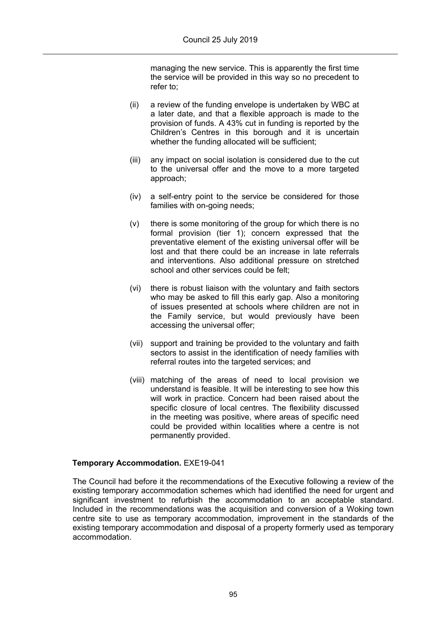managing the new service. This is apparently the first time the service will be provided in this way so no precedent to refer to;

- (ii) a review of the funding envelope is undertaken by WBC at a later date, and that a flexible approach is made to the provision of funds. A 43% cut in funding is reported by the Children's Centres in this borough and it is uncertain whether the funding allocated will be sufficient;
- (iii) any impact on social isolation is considered due to the cut to the universal offer and the move to a more targeted approach;
- (iv) a self-entry point to the service be considered for those families with on-going needs:
- (v) there is some monitoring of the group for which there is no formal provision (tier 1); concern expressed that the preventative element of the existing universal offer will be lost and that there could be an increase in late referrals and interventions. Also additional pressure on stretched school and other services could be felt;
- (vi) there is robust liaison with the voluntary and faith sectors who may be asked to fill this early gap. Also a monitoring of issues presented at schools where children are not in the Family service, but would previously have been accessing the universal offer;
- (vii) support and training be provided to the voluntary and faith sectors to assist in the identification of needy families with referral routes into the targeted services; and
- (viii) matching of the areas of need to local provision we understand is feasible. It will be interesting to see how this will work in practice. Concern had been raised about the specific closure of local centres. The flexibility discussed in the meeting was positive, where areas of specific need could be provided within localities where a centre is not permanently provided.

## **Temporary Accommodation.** EXE19-041

The Council had before it the recommendations of the Executive following a review of the existing temporary accommodation schemes which had identified the need for urgent and significant investment to refurbish the accommodation to an acceptable standard. Included in the recommendations was the acquisition and conversion of a Woking town centre site to use as temporary accommodation, improvement in the standards of the existing temporary accommodation and disposal of a property formerly used as temporary accommodation.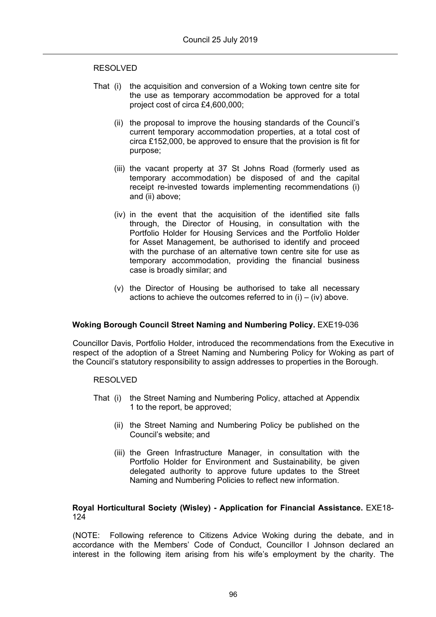#### RESOLVED

- That (i) the acquisition and conversion of a Woking town centre site for the use as temporary accommodation be approved for a total project cost of circa £4,600,000;
	- (ii) the proposal to improve the housing standards of the Council's current temporary accommodation properties, at a total cost of circa £152,000, be approved to ensure that the provision is fit for purpose;
	- (iii) the vacant property at 37 St Johns Road (formerly used as temporary accommodation) be disposed of and the capital receipt re-invested towards implementing recommendations (i) and (ii) above;
	- (iv) in the event that the acquisition of the identified site falls through, the Director of Housing, in consultation with the Portfolio Holder for Housing Services and the Portfolio Holder for Asset Management, be authorised to identify and proceed with the purchase of an alternative town centre site for use as temporary accommodation, providing the financial business case is broadly similar; and
	- (v) the Director of Housing be authorised to take all necessary actions to achieve the outcomes referred to in  $(i) - (iv)$  above.

## **Woking Borough Council Street Naming and Numbering Policy.** EXE19-036

Councillor Davis, Portfolio Holder, introduced the recommendations from the Executive in respect of the adoption of a Street Naming and Numbering Policy for Woking as part of the Council's statutory responsibility to assign addresses to properties in the Borough.

#### RESOLVED

- That (i) the Street Naming and Numbering Policy, attached at Appendix 1 to the report, be approved;
	- (ii) the Street Naming and Numbering Policy be published on the Council's website; and
	- (iii) the Green Infrastructure Manager, in consultation with the Portfolio Holder for Environment and Sustainability, be given delegated authority to approve future updates to the Street Naming and Numbering Policies to reflect new information.

### **Royal Horticultural Society (Wisley) - Application for Financial Assistance.** EXE18- 124

(NOTE: Following reference to Citizens Advice Woking during the debate, and in accordance with the Members' Code of Conduct, Councillor I Johnson declared an interest in the following item arising from his wife's employment by the charity. The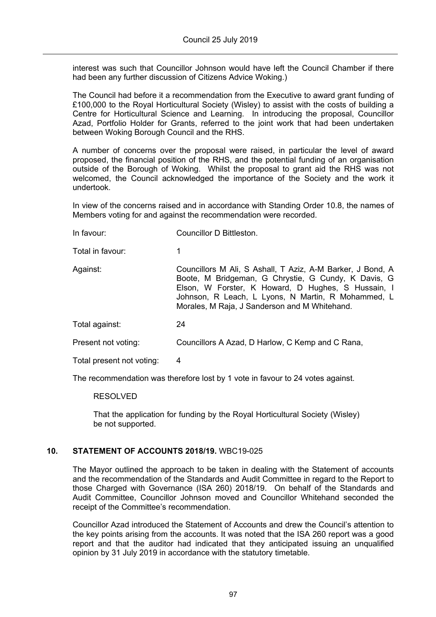interest was such that Councillor Johnson would have left the Council Chamber if there had been any further discussion of Citizens Advice Woking.)

The Council had before it a recommendation from the Executive to award grant funding of £100,000 to the Royal Horticultural Society (Wisley) to assist with the costs of building a Centre for Horticultural Science and Learning. In introducing the proposal, Councillor Azad, Portfolio Holder for Grants, referred to the joint work that had been undertaken between Woking Borough Council and the RHS.

A number of concerns over the proposal were raised, in particular the level of award proposed, the financial position of the RHS, and the potential funding of an organisation outside of the Borough of Woking. Whilst the proposal to grant aid the RHS was not welcomed, the Council acknowledged the importance of the Society and the work it undertook.

In view of the concerns raised and in accordance with Standing Order 10.8, the names of Members voting for and against the recommendation were recorded.

| In favour:                | Councillor D Bittleston.                                                                                                                                                                                                                                                       |
|---------------------------|--------------------------------------------------------------------------------------------------------------------------------------------------------------------------------------------------------------------------------------------------------------------------------|
| Total in favour:          | 1                                                                                                                                                                                                                                                                              |
| Against:                  | Councillors M Ali, S Ashall, T Aziz, A-M Barker, J Bond, A<br>Boote, M Bridgeman, G Chrystie, G Cundy, K Davis, G<br>Elson, W Forster, K Howard, D Hughes, S Hussain, I<br>Johnson, R Leach, L Lyons, N Martin, R Mohammed, L<br>Morales, M Raja, J Sanderson and M Whitehand. |
| Total against:            | 24                                                                                                                                                                                                                                                                             |
| Present not voting:       | Councillors A Azad, D Harlow, C Kemp and C Rana,                                                                                                                                                                                                                               |
| Total present not voting: | 4                                                                                                                                                                                                                                                                              |

The recommendation was therefore lost by 1 vote in favour to 24 votes against.

RESOLVED

That the application for funding by the Royal Horticultural Society (Wisley) be not supported.

## **10. STATEMENT OF ACCOUNTS 2018/19.** WBC19-025

The Mayor outlined the approach to be taken in dealing with the Statement of accounts and the recommendation of the Standards and Audit Committee in regard to the Report to those Charged with Governance (ISA 260) 2018/19. On behalf of the Standards and Audit Committee, Councillor Johnson moved and Councillor Whitehand seconded the receipt of the Committee's recommendation.

Councillor Azad introduced the Statement of Accounts and drew the Council's attention to the key points arising from the accounts. It was noted that the ISA 260 report was a good report and that the auditor had indicated that they anticipated issuing an unqualified opinion by 31 July 2019 in accordance with the statutory timetable.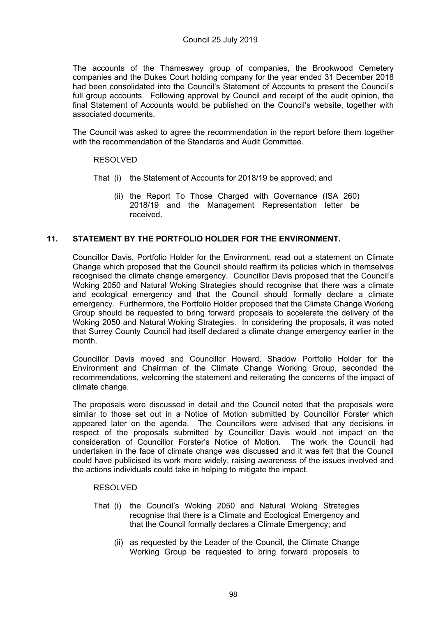The accounts of the Thameswey group of companies, the Brookwood Cemetery companies and the Dukes Court holding company for the year ended 31 December 2018 had been consolidated into the Council's Statement of Accounts to present the Council's full group accounts. Following approval by Council and receipt of the audit opinion, the final Statement of Accounts would be published on the Council's website, together with associated documents.

The Council was asked to agree the recommendation in the report before them together with the recommendation of the Standards and Audit Committee.

## RESOLVED

- That (i) the Statement of Accounts for 2018/19 be approved; and
	- (ii) the Report To Those Charged with Governance (ISA 260) 2018/19 and the Management Representation letter be received.

## **11. STATEMENT BY THE PORTFOLIO HOLDER FOR THE ENVIRONMENT.**

Councillor Davis, Portfolio Holder for the Environment, read out a statement on Climate Change which proposed that the Council should reaffirm its policies which in themselves recognised the climate change emergency. Councillor Davis proposed that the Council's Woking 2050 and Natural Woking Strategies should recognise that there was a climate and ecological emergency and that the Council should formally declare a climate emergency. Furthermore, the Portfolio Holder proposed that the Climate Change Working Group should be requested to bring forward proposals to accelerate the delivery of the Woking 2050 and Natural Woking Strategies. In considering the proposals, it was noted that Surrey County Council had itself declared a climate change emergency earlier in the month.

Councillor Davis moved and Councillor Howard, Shadow Portfolio Holder for the Environment and Chairman of the Climate Change Working Group, seconded the recommendations, welcoming the statement and reiterating the concerns of the impact of climate change.

The proposals were discussed in detail and the Council noted that the proposals were similar to those set out in a Notice of Motion submitted by Councillor Forster which appeared later on the agenda. The Councillors were advised that any decisions in respect of the proposals submitted by Councillor Davis would not impact on the consideration of Councillor Forster's Notice of Motion. The work the Council had undertaken in the face of climate change was discussed and it was felt that the Council could have publicised its work more widely, raising awareness of the issues involved and the actions individuals could take in helping to mitigate the impact.

#### RESOLVED

- That (i) the Council's Woking 2050 and Natural Woking Strategies recognise that there is a Climate and Ecological Emergency and that the Council formally declares a Climate Emergency; and
	- (ii) as requested by the Leader of the Council, the Climate Change Working Group be requested to bring forward proposals to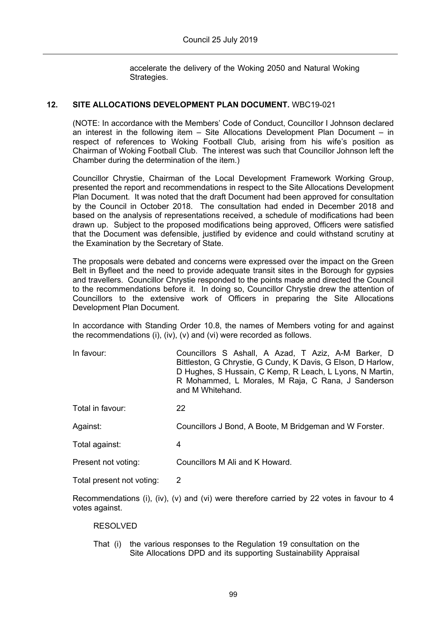accelerate the delivery of the Woking 2050 and Natural Woking Strategies.

## **12. SITE ALLOCATIONS DEVELOPMENT PLAN DOCUMENT.** WBC19-021

(NOTE: In accordance with the Members' Code of Conduct, Councillor I Johnson declared an interest in the following item – Site Allocations Development Plan Document – in respect of references to Woking Football Club, arising from his wife's position as Chairman of Woking Football Club. The interest was such that Councillor Johnson left the Chamber during the determination of the item.)

Councillor Chrystie, Chairman of the Local Development Framework Working Group, presented the report and recommendations in respect to the Site Allocations Development Plan Document. It was noted that the draft Document had been approved for consultation by the Council in October 2018. The consultation had ended in December 2018 and based on the analysis of representations received, a schedule of modifications had been drawn up. Subject to the proposed modifications being approved, Officers were satisfied that the Document was defensible, justified by evidence and could withstand scrutiny at the Examination by the Secretary of State.

The proposals were debated and concerns were expressed over the impact on the Green Belt in Byfleet and the need to provide adequate transit sites in the Borough for gypsies and travellers. Councillor Chrystie responded to the points made and directed the Council to the recommendations before it. In doing so, Councillor Chrystie drew the attention of Councillors to the extensive work of Officers in preparing the Site Allocations Development Plan Document.

In accordance with Standing Order 10.8, the names of Members voting for and against the recommendations (i), (iv), (v) and (vi) were recorded as follows.

In favour: Councillors S Ashall, A Azad, T Aziz, A-M Barker, D Bittleston, G Chrystie, G Cundy, K Davis, G Elson, D Harlow, D Hughes, S Hussain, C Kemp, R Leach, L Lyons, N Martin, R Mohammed, L Morales, M Raja, C Rana, J Sanderson and M Whitehand.

Total in favour: 22

Against: Councillors J Bond, A Boote, M Bridgeman and W Forster.

Total against: 4

Present not voting: Councillors M Ali and K Howard.

Total present not voting: 2

Recommendations (i), (iv), (v) and (vi) were therefore carried by 22 votes in favour to 4 votes against.

### RESOLVED

That (i) the various responses to the Regulation 19 consultation on the Site Allocations DPD and its supporting Sustainability Appraisal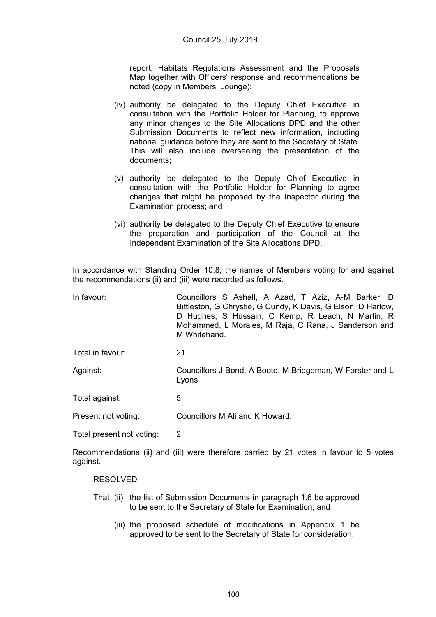report, Habitats Regulations Assessment and the Proposals Map together with Officers' response and recommendations be noted (copy in Members' Lounge);

- (iv) authority be delegated to the Deputy Chief Executive in consultation with the Portfolio Holder for Planning, to approve any minor changes to the Site Allocations DPD and the other Submission Documents to reflect new information, including national guidance before they are sent to the Secretary of State. This will also include overseeing the presentation of the documents;
- (v) authority be delegated to the Deputy Chief Executive in consultation with the Portfolio Holder for Planning to agree changes that might be proposed by the Inspector during the Examination process; and
- (vi) authority be delegated to the Deputy Chief Executive to ensure the preparation and participation of the Council at the Independent Examination of the Site Allocations DPD.

In accordance with Standing Order 10.8, the names of Members voting for and against the recommendations (ii) and (iii) were recorded as follows.

| In favour:       | Councillors S Ashall, A Azad, T Aziz, A-M Barker, D<br>Bittleston, G Chrystie, G Cundy, K Davis, G Elson, D Harlow,<br>D Hughes, S Hussain, C Kemp, R Leach, N Martin, R<br>Mohammed, L Morales, M Raja, C Rana, J Sanderson and<br>M Whitehand. |
|------------------|--------------------------------------------------------------------------------------------------------------------------------------------------------------------------------------------------------------------------------------------------|
| Total in favour: | 21                                                                                                                                                                                                                                               |
| Against:         | Councillors J Bond, A Boote, M Bridgeman, W Forster and L<br>Lyons                                                                                                                                                                               |

Total against: 5

Present not voting: Councillors M Ali and K Howard.

Total present not voting: 2

Recommendations (ii) and (iii) were therefore carried by 21 votes in favour to 5 votes against.

#### RESOLVED

- That (ii) the list of Submission Documents in paragraph 1.6 be approved to be sent to the Secretary of State for Examination; and
	- (iii) the proposed schedule of modifications in Appendix 1 be approved to be sent to the Secretary of State for consideration.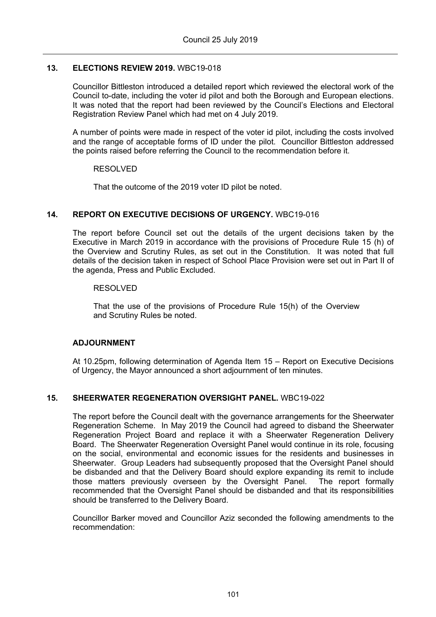## **13. ELECTIONS REVIEW 2019.** WBC19-018

Councillor Bittleston introduced a detailed report which reviewed the electoral work of the Council to-date, including the voter id pilot and both the Borough and European elections. It was noted that the report had been reviewed by the Council's Elections and Electoral Registration Review Panel which had met on 4 July 2019.

A number of points were made in respect of the voter id pilot, including the costs involved and the range of acceptable forms of ID under the pilot. Councillor Bittleston addressed the points raised before referring the Council to the recommendation before it.

### RESOLVED

That the outcome of the 2019 voter ID pilot be noted.

## **14. REPORT ON EXECUTIVE DECISIONS OF URGENCY.** WBC19-016

The report before Council set out the details of the urgent decisions taken by the Executive in March 2019 in accordance with the provisions of Procedure Rule 15 (h) of the Overview and Scrutiny Rules, as set out in the Constitution. It was noted that full details of the decision taken in respect of School Place Provision were set out in Part II of the agenda, Press and Public Excluded.

### RESOLVED

That the use of the provisions of Procedure Rule 15(h) of the Overview and Scrutiny Rules be noted.

#### **ADJOURNMENT**

At 10.25pm, following determination of Agenda Item 15 – Report on Executive Decisions of Urgency, the Mayor announced a short adjournment of ten minutes.

## **15. SHEERWATER REGENERATION OVERSIGHT PANEL.** WBC19-022

The report before the Council dealt with the governance arrangements for the Sheerwater Regeneration Scheme. In May 2019 the Council had agreed to disband the Sheerwater Regeneration Project Board and replace it with a Sheerwater Regeneration Delivery Board. The Sheerwater Regeneration Oversight Panel would continue in its role, focusing on the social, environmental and economic issues for the residents and businesses in Sheerwater. Group Leaders had subsequently proposed that the Oversight Panel should be disbanded and that the Delivery Board should explore expanding its remit to include those matters previously overseen by the Oversight Panel. The report formally recommended that the Oversight Panel should be disbanded and that its responsibilities should be transferred to the Delivery Board.

Councillor Barker moved and Councillor Aziz seconded the following amendments to the recommendation: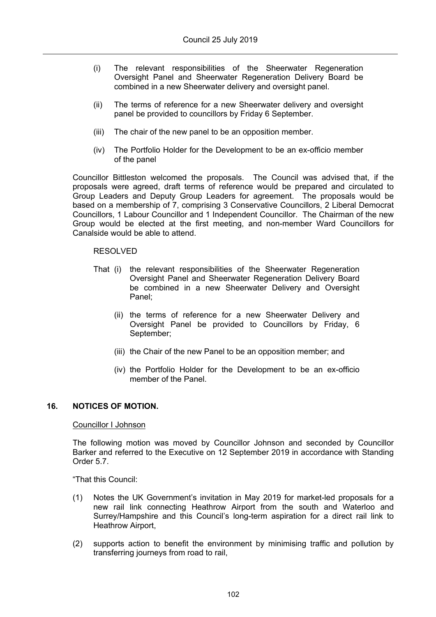- (i) The relevant responsibilities of the Sheerwater Regeneration Oversight Panel and Sheerwater Regeneration Delivery Board be combined in a new Sheerwater delivery and oversight panel.
- (ii) The terms of reference for a new Sheerwater delivery and oversight panel be provided to councillors by Friday 6 September.
- (iii) The chair of the new panel to be an opposition member.
- (iv) The Portfolio Holder for the Development to be an ex-officio member of the panel

Councillor Bittleston welcomed the proposals. The Council was advised that, if the proposals were agreed, draft terms of reference would be prepared and circulated to Group Leaders and Deputy Group Leaders for agreement. The proposals would be based on a membership of 7, comprising 3 Conservative Councillors, 2 Liberal Democrat Councillors, 1 Labour Councillor and 1 Independent Councillor. The Chairman of the new Group would be elected at the first meeting, and non-member Ward Councillors for Canalside would be able to attend.

#### RESOLVED

- That (i) the relevant responsibilities of the Sheerwater Regeneration Oversight Panel and Sheerwater Regeneration Delivery Board be combined in a new Sheerwater Delivery and Oversight Panel;
	- (ii) the terms of reference for a new Sheerwater Delivery and Oversight Panel be provided to Councillors by Friday, 6 September;
	- (iii) the Chair of the new Panel to be an opposition member; and
	- (iv) the Portfolio Holder for the Development to be an ex-officio member of the Panel

### **16. NOTICES OF MOTION.**

#### Councillor I Johnson

The following motion was moved by Councillor Johnson and seconded by Councillor Barker and referred to the Executive on 12 September 2019 in accordance with Standing Order 5.7.

"That this Council:

- (1) Notes the UK Government's invitation in May 2019 for market-led proposals for a new rail link connecting Heathrow Airport from the south and Waterloo and Surrey/Hampshire and this Council's long-term aspiration for a direct rail link to Heathrow Airport,
- (2) supports action to benefit the environment by minimising traffic and pollution by transferring journeys from road to rail,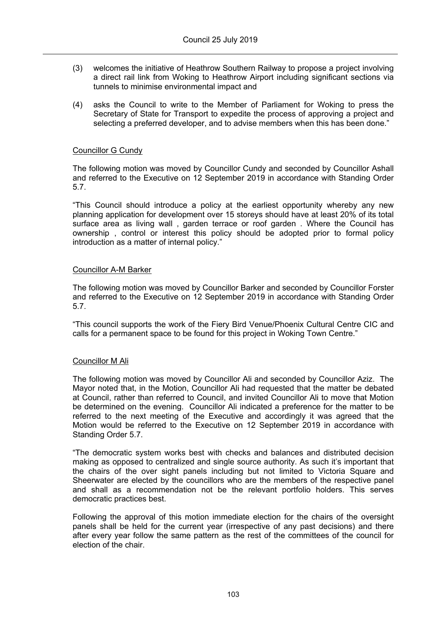- (3) welcomes the initiative of Heathrow Southern Railway to propose a project involving a direct rail link from Woking to Heathrow Airport including significant sections via tunnels to minimise environmental impact and
- (4) asks the Council to write to the Member of Parliament for Woking to press the Secretary of State for Transport to expedite the process of approving a project and selecting a preferred developer, and to advise members when this has been done."

## Councillor G Cundy

The following motion was moved by Councillor Cundy and seconded by Councillor Ashall and referred to the Executive on 12 September 2019 in accordance with Standing Order 5.7.

"This Council should introduce a policy at the earliest opportunity whereby any new planning application for development over 15 storeys should have at least 20% of its total surface area as living wall , garden terrace or roof garden . Where the Council has ownership , control or interest this policy should be adopted prior to formal policy introduction as a matter of internal policy."

### Councillor A-M Barker

The following motion was moved by Councillor Barker and seconded by Councillor Forster and referred to the Executive on 12 September 2019 in accordance with Standing Order 5.7.

"This council supports the work of the Fiery Bird Venue/Phoenix Cultural Centre CIC and calls for a permanent space to be found for this project in Woking Town Centre."

## Councillor M Ali

The following motion was moved by Councillor Ali and seconded by Councillor Aziz. The Mayor noted that, in the Motion, Councillor Ali had requested that the matter be debated at Council, rather than referred to Council, and invited Councillor Ali to move that Motion be determined on the evening. Councillor Ali indicated a preference for the matter to be referred to the next meeting of the Executive and accordingly it was agreed that the Motion would be referred to the Executive on 12 September 2019 in accordance with Standing Order 5.7.

"The democratic system works best with checks and balances and distributed decision making as opposed to centralized and single source authority. As such it's important that the chairs of the over sight panels including but not limited to Victoria Square and Sheerwater are elected by the councillors who are the members of the respective panel and shall as a recommendation not be the relevant portfolio holders. This serves democratic practices best.

Following the approval of this motion immediate election for the chairs of the oversight panels shall be held for the current year (irrespective of any past decisions) and there after every year follow the same pattern as the rest of the committees of the council for election of the chair.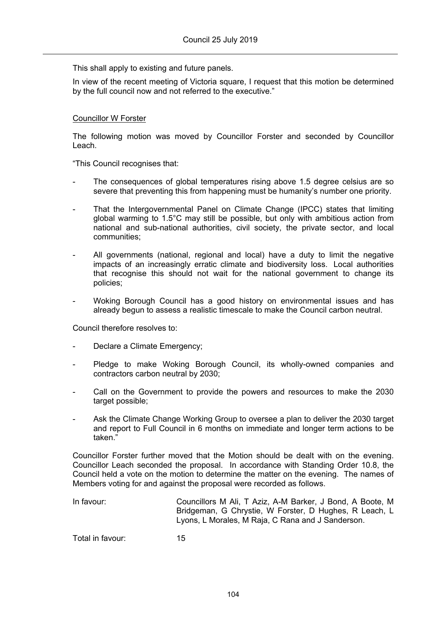This shall apply to existing and future panels.

In view of the recent meeting of Victoria square, I request that this motion be determined by the full council now and not referred to the executive."

### Councillor W Forster

The following motion was moved by Councillor Forster and seconded by Councillor Leach.

"This Council recognises that:

- The consequences of global temperatures rising above 1.5 degree celsius are so severe that preventing this from happening must be humanity's number one priority.
- That the Intergovernmental Panel on Climate Change (IPCC) states that limiting global warming to 1.5°C may still be possible, but only with ambitious action from national and sub-national authorities, civil society, the private sector, and local communities;
- All governments (national, regional and local) have a duty to limit the negative impacts of an increasingly erratic climate and biodiversity loss. Local authorities that recognise this should not wait for the national government to change its policies;
- Woking Borough Council has a good history on environmental issues and has already begun to assess a realistic timescale to make the Council carbon neutral.

Council therefore resolves to:

- Declare a Climate Emergency;
- Pledge to make Woking Borough Council, its wholly-owned companies and contractors carbon neutral by 2030;
- Call on the Government to provide the powers and resources to make the 2030 target possible;
- Ask the Climate Change Working Group to oversee a plan to deliver the 2030 target and report to Full Council in 6 months on immediate and longer term actions to be taken."

Councillor Forster further moved that the Motion should be dealt with on the evening. Councillor Leach seconded the proposal. In accordance with Standing Order 10.8, the Council held a vote on the motion to determine the matter on the evening. The names of Members voting for and against the proposal were recorded as follows.

In favour: Councillors M Ali, T Aziz, A-M Barker, J Bond, A Boote, M Bridgeman, G Chrystie, W Forster, D Hughes, R Leach, L Lyons, L Morales, M Raja, C Rana and J Sanderson.

Total in favour: 15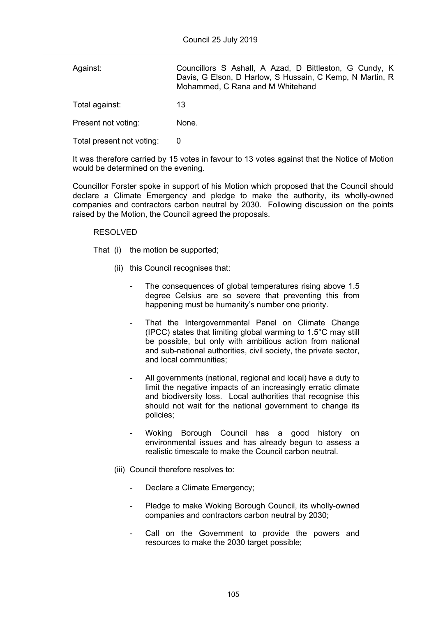| Against:                  | Councillors S Ashall, A Azad, D Bittleston, G Cundy, K<br>Davis, G Elson, D Harlow, S Hussain, C Kemp, N Martin, R<br>Mohammed, C Rana and M Whitehand |
|---------------------------|--------------------------------------------------------------------------------------------------------------------------------------------------------|
| Total against:            | 13                                                                                                                                                     |
| Present not voting:       | None.                                                                                                                                                  |
| Total present not voting: |                                                                                                                                                        |

It was therefore carried by 15 votes in favour to 13 votes against that the Notice of Motion would be determined on the evening.

Councillor Forster spoke in support of his Motion which proposed that the Council should declare a Climate Emergency and pledge to make the authority, its wholly-owned companies and contractors carbon neutral by 2030. Following discussion on the points raised by the Motion, the Council agreed the proposals.

### RESOLVED

That (i) the motion be supported;

- (ii) this Council recognises that:
	- The consequences of global temperatures rising above 1.5 degree Celsius are so severe that preventing this from happening must be humanity's number one priority.
	- That the Intergovernmental Panel on Climate Change (IPCC) states that limiting global warming to 1.5°C may still be possible, but only with ambitious action from national and sub-national authorities, civil society, the private sector, and local communities;
	- All governments (national, regional and local) have a duty to limit the negative impacts of an increasingly erratic climate and biodiversity loss. Local authorities that recognise this should not wait for the national government to change its policies;
	- Woking Borough Council has a good history on environmental issues and has already begun to assess a realistic timescale to make the Council carbon neutral.
- (iii) Council therefore resolves to:
	- Declare a Climate Emergency;
	- Pledge to make Woking Borough Council, its wholly-owned companies and contractors carbon neutral by 2030;
	- Call on the Government to provide the powers and resources to make the 2030 target possible;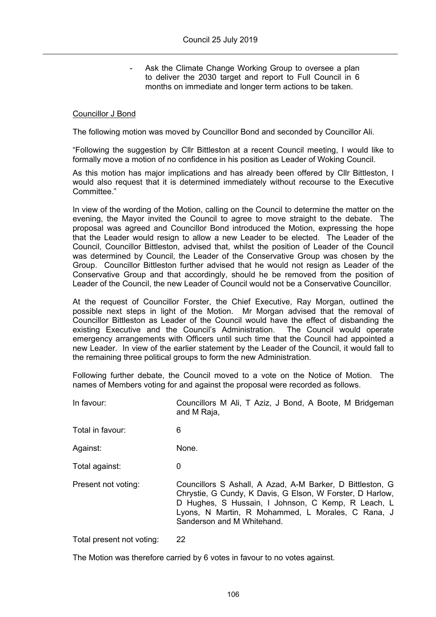Ask the Climate Change Working Group to oversee a plan to deliver the 2030 target and report to Full Council in 6 months on immediate and longer term actions to be taken.

#### Councillor J Bond

The following motion was moved by Councillor Bond and seconded by Councillor Ali.

"Following the suggestion by Cllr Bittleston at a recent Council meeting, I would like to formally move a motion of no confidence in his position as Leader of Woking Council.

As this motion has major implications and has already been offered by Cllr Bittleston, I would also request that it is determined immediately without recourse to the Executive Committee."

In view of the wording of the Motion, calling on the Council to determine the matter on the evening, the Mayor invited the Council to agree to move straight to the debate. The proposal was agreed and Councillor Bond introduced the Motion, expressing the hope that the Leader would resign to allow a new Leader to be elected. The Leader of the Council, Councillor Bittleston, advised that, whilst the position of Leader of the Council was determined by Council, the Leader of the Conservative Group was chosen by the Group. Councillor Bittleston further advised that he would not resign as Leader of the Conservative Group and that accordingly, should he be removed from the position of Leader of the Council, the new Leader of Council would not be a Conservative Councillor.

At the request of Councillor Forster, the Chief Executive, Ray Morgan, outlined the possible next steps in light of the Motion. Mr Morgan advised that the removal of Councillor Bittleston as Leader of the Council would have the effect of disbanding the existing Executive and the Council's Administration. The Council would operate emergency arrangements with Officers until such time that the Council had appointed a new Leader. In view of the earlier statement by the Leader of the Council, it would fall to the remaining three political groups to form the new Administration.

Following further debate, the Council moved to a vote on the Notice of Motion. The names of Members voting for and against the proposal were recorded as follows.

- In favour: Councillors M Ali, T Aziz, J Bond, A Boote, M Bridgeman and M Raja,
- Total in favour: 6
- Against: None.

Total against: 0

Present not voting: Councillors S Ashall, A Azad, A-M Barker, D Bittleston, G Chrystie, G Cundy, K Davis, G Elson, W Forster, D Harlow, D Hughes, S Hussain, I Johnson, C Kemp, R Leach, L Lyons, N Martin, R Mohammed, L Morales, C Rana, J Sanderson and M Whitehand.

Total present not voting: 22

The Motion was therefore carried by 6 votes in favour to no votes against.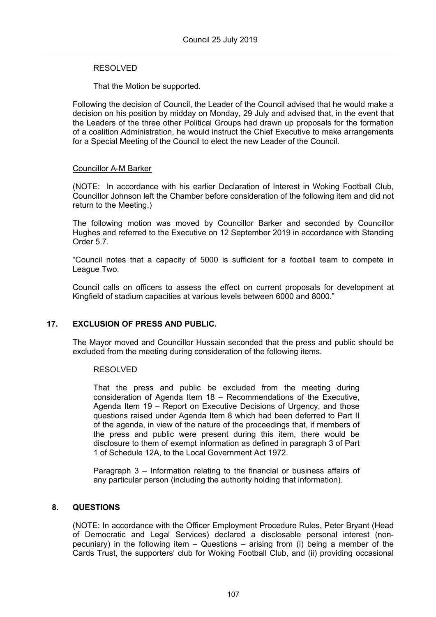### RESOLVED

That the Motion be supported.

Following the decision of Council, the Leader of the Council advised that he would make a decision on his position by midday on Monday, 29 July and advised that, in the event that the Leaders of the three other Political Groups had drawn up proposals for the formation of a coalition Administration, he would instruct the Chief Executive to make arrangements for a Special Meeting of the Council to elect the new Leader of the Council.

### Councillor A-M Barker

(NOTE: In accordance with his earlier Declaration of Interest in Woking Football Club, Councillor Johnson left the Chamber before consideration of the following item and did not return to the Meeting.)

The following motion was moved by Councillor Barker and seconded by Councillor Hughes and referred to the Executive on 12 September 2019 in accordance with Standing Order 5.7.

"Council notes that a capacity of 5000 is sufficient for a football team to compete in League Two.

Council calls on officers to assess the effect on current proposals for development at Kingfield of stadium capacities at various levels between 6000 and 8000."

## **17. EXCLUSION OF PRESS AND PUBLIC.**

The Mayor moved and Councillor Hussain seconded that the press and public should be excluded from the meeting during consideration of the following items.

#### RESOLVED

That the press and public be excluded from the meeting during consideration of Agenda Item 18 – Recommendations of the Executive, Agenda Item 19 – Report on Executive Decisions of Urgency, and those questions raised under Agenda Item 8 which had been deferred to Part II of the agenda, in view of the nature of the proceedings that, if members of the press and public were present during this item, there would be disclosure to them of exempt information as defined in paragraph 3 of Part 1 of Schedule 12A, to the Local Government Act 1972.

Paragraph 3 – Information relating to the financial or business affairs of any particular person (including the authority holding that information).

## **8. QUESTIONS**

(NOTE: In accordance with the Officer Employment Procedure Rules, Peter Bryant (Head of Democratic and Legal Services) declared a disclosable personal interest (nonpecuniary) in the following item – Questions – arising from (i) being a member of the Cards Trust, the supporters' club for Woking Football Club, and (ii) providing occasional